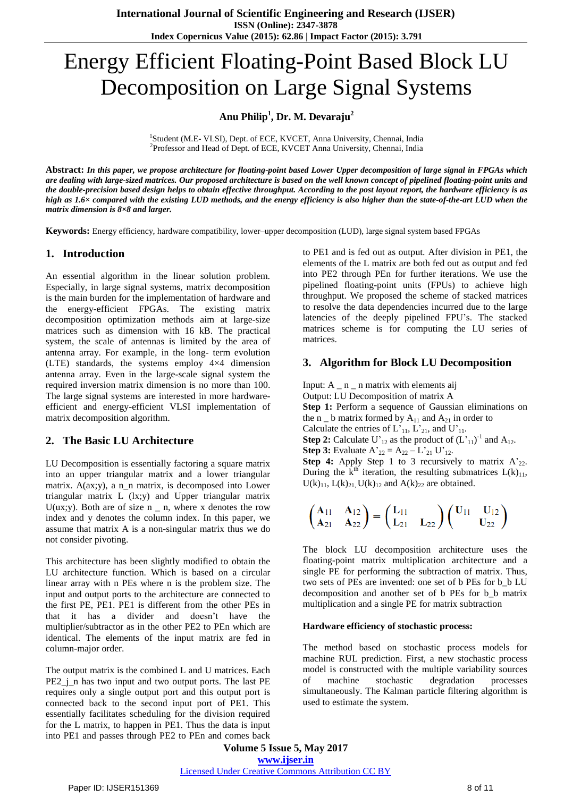# Energy Efficient Floating-Point Based Block LU Decomposition on Large Signal Systems

# **Anu Philip<sup>1</sup> , Dr. M. Devaraju<sup>2</sup>**

<sup>1</sup>Student (M.E- VLSI), Dept. of ECE, KVCET, Anna University, Chennai, India <sup>2</sup>Professor and Head of Dept. of ECE, KVCET Anna University, Chennai, India

Abstract: In this paper, we propose architecture for floating-point based Lower Upper decomposition of large signal in FPGAs which are dealing with large-sized matrices. Our proposed architecture is based on the well known concept of pipelined floating-point units and the double-precision based design helps to obtain effective throughput. According to the post layout report, the hardware efficiency is as high as 1.6× compared with the existing LUD methods, and the energy efficiency is also higher than the state-of-the-art LUD when the *matrix dimension is 8×8 and larger.*

**Keywords:** Energy efficiency, hardware compatibility, lower–upper decomposition (LUD), large signal system based FPGAs

#### **1. Introduction**

An essential algorithm in the linear solution problem. Especially, in large signal systems, matrix decomposition is the main burden for the implementation of hardware and the energy-efficient FPGAs. The existing matrix decomposition optimization methods aim at large-size matrices such as dimension with 16 kB. The practical system, the scale of antennas is limited by the area of antenna array. For example, in the long- term evolution (LTE) standards, the systems employ 4×4 dimension antenna array. Even in the large-scale signal system the required inversion matrix dimension is no more than 100. The large signal systems are interested in more hardwareefficient and energy-efficient VLSI implementation of matrix decomposition algorithm.

# **2. The Basic LU Architecture**

LU Decomposition is essentially factoring a square matrix into an upper triangular matrix and a lower triangular matrix. A(ax;y), a n\_n matrix, is decomposed into Lower triangular matrix L (lx;y) and Upper triangular matrix U(ux;y). Both are of size  $n$   $-$  n, where x denotes the row index and y denotes the column index. In this paper, we assume that matrix A is a non-singular matrix thus we do not consider pivoting.

This architecture has been slightly modified to obtain the LU architecture function. Which is based on a circular linear array with n PEs where n is the problem size. The input and output ports to the architecture are connected to the first PE, PE1. PE1 is different from the other PEs in that it has a divider and doesn"t have the multiplier/subtractor as in the other PE2 to PEn which are identical. The elements of the input matrix are fed in column-major order.

The output matrix is the combined L and U matrices. Each PE2  $\dot{\textbf{j}}$  n has two input and two output ports. The last PE requires only a single output port and this output port is connected back to the second input port of PE1. This essentially facilitates scheduling for the division required for the L matrix, to happen in PE1. Thus the data is input into PE1 and passes through PE2 to PEn and comes back

to PE1 and is fed out as output. After division in PE1, the elements of the L matrix are both fed out as output and fed into PE2 through PEn for further iterations. We use the pipelined floating-point units (FPUs) to achieve high throughput. We proposed the scheme of stacked matrices to resolve the data dependencies incurred due to the large latencies of the deeply pipelined FPU"s. The stacked matrices scheme is for computing the LU series of matrices.

# **3. Algorithm for Block LU Decomposition**

Input: A \_ n \_ n matrix with elements aij

Output: LU Decomposition of matrix A **Step 1:** Perform a sequence of Gaussian eliminations on the n  $\angle$  b matrix formed by  $A_{11}$  and  $A_{21}$  in order to

Calculate the entries of  $L_{11}$ ,  $L_{21}$ , and  $U_{11}$ .

**Step 2:** Calculate U'<sub>12</sub> as the product of  $(L_{11})^{-1}$  and  $A_{12}$ .

**Step 3:** Evaluate  $A'_{22} = A_{22} - L'_{21} U'_{12}$ .

**Step 4:** Apply Step 1 to 3 recursively to matrix  $A^2_{22}$ . During the  $k<sup>th</sup>$  iteration, the resulting submatrices  $L(k)_{11}$ ,  $U(k)_{11}$ ,  $L(k)_{21}$ ,  $U(k)_{12}$  and  $A(k)_{22}$  are obtained.

$$
\begin{pmatrix} A_{11} & A_{12} \ A_{21} & A_{22} \end{pmatrix} = \begin{pmatrix} L_{11} & \\ L_{21} & L_{22} \end{pmatrix} \begin{pmatrix} U_{11} & U_{12} \ U_{22} \end{pmatrix}
$$

The block LU decomposition architecture uses the floating-point matrix multiplication architecture and a single PE for performing the subtraction of matrix. Thus, two sets of PEs are invented: one set of b PEs for b\_b LU decomposition and another set of b PEs for b\_b matrix multiplication and a single PE for matrix subtraction

#### **Hardware efficiency of stochastic process:**

The method based on stochastic process models for machine RUL prediction. First, a new stochastic process model is constructed with the multiple variability sources of machine stochastic degradation processes simultaneously. The Kalman particle filtering algorithm is used to estimate the system.

**Volume 5 Issue 5, May 2017 www.ijser.in** Licensed Under Creative Commons Attribution CC BY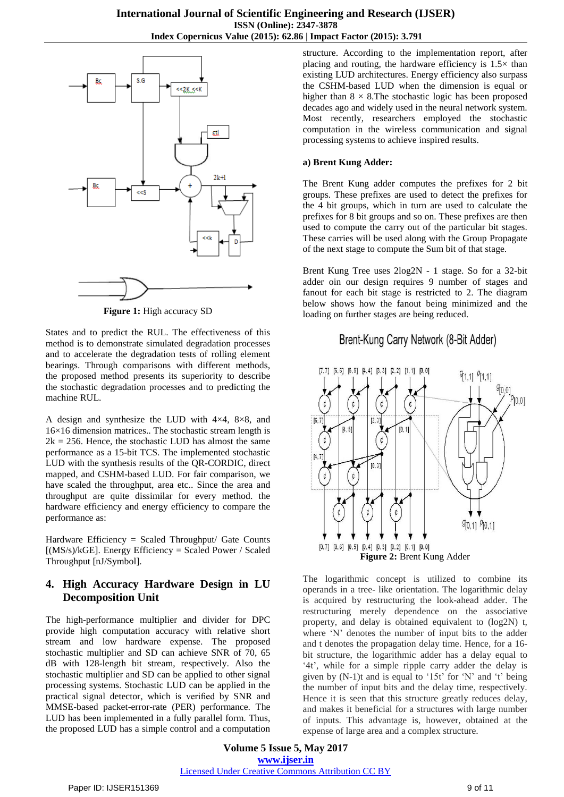

**Figure 1:** High accuracy SD

States and to predict the RUL. The effectiveness of this method is to demonstrate simulated degradation processes and to accelerate the degradation tests of rolling element bearings. Through comparisons with different methods, the proposed method presents its superiority to describe the stochastic degradation processes and to predicting the machine RUL.

A design and synthesize the LUD with 4×4, 8×8, and 16×16 dimension matrices.. The stochastic stream length is  $2k = 256$ . Hence, the stochastic LUD has almost the same performance as a 15-bit TCS. The implemented stochastic LUD with the synthesis results of the QR-CORDIC, direct mapped, and CSHM-based LUD. For fair comparison, we have scaled the throughput, area etc.. Since the area and throughput are quite dissimilar for every method. the hardware efficiency and energy efficiency to compare the performance as:

Hardware Efficiency = Scaled Throughput/ Gate Counts  $[(MS/s)/kGE]$ . Energy Efficiency = Scaled Power / Scaled Throughput [nJ/Symbol].

### **4. High Accuracy Hardware Design in LU Decomposition Unit**

The high-performance multiplier and divider for DPC provide high computation accuracy with relative short stream and low hardware expense. The proposed stochastic multiplier and SD can achieve SNR of 70, 65 dB with 128-length bit stream, respectively. Also the stochastic multiplier and SD can be applied to other signal processing systems. Stochastic LUD can be applied in the practical signal detector, which is verified by SNR and MMSE-based packet-error-rate (PER) performance. The LUD has been implemented in a fully parallel form. Thus, the proposed LUD has a simple control and a computation

structure. According to the implementation report, after placing and routing, the hardware efficiency is  $1.5\times$  than existing LUD architectures. Energy efficiency also surpass the CSHM-based LUD when the dimension is equal or higher than  $8 \times 8$ . The stochastic logic has been proposed decades ago and widely used in the neural network system. Most recently, researchers employed the stochastic computation in the wireless communication and signal processing systems to achieve inspired results.

#### **a) Brent Kung Adder:**

The Brent Kung adder computes the prefixes for 2 bit groups. These prefixes are used to detect the prefixes for the 4 bit groups, which in turn are used to calculate the prefixes for 8 bit groups and so on. These prefixes are then used to compute the carry out of the particular bit stages. These carries will be used along with the Group Propagate of the next stage to compute the Sum bit of that stage.

Brent Kung Tree uses 2log2N - 1 stage. So for a 32-bit adder oin our design requires 9 number of stages and fanout for each bit stage is restricted to 2. The diagram below shows how the fanout being minimized and the loading on further stages are being reduced.

# Brent-Kung Carry Network (8-Bit Adder)



The logarithmic concept is utilized to combine its operands in a tree- like orientation. The logarithmic delay is acquired by restructuring the look-ahead adder. The restructuring merely dependence on the associative property, and delay is obtained equivalent to (log2N) t, where "N" denotes the number of input bits to the adder and t denotes the propagation delay time. Hence, for a 16 bit structure, the logarithmic adder has a delay equal to "4t", while for a simple ripple carry adder the delay is given by  $(N-1)t$  and is equal to '15t' for 'N' and 't' being the number of input bits and the delay time, respectively. Hence it is seen that this structure greatly reduces delay, and makes it beneficial for a structures with large number of inputs. This advantage is, however, obtained at the expense of large area and a complex structure.

**Volume 5 Issue 5, May 2017 www.ijser.in** Licensed Under Creative Commons Attribution CC BY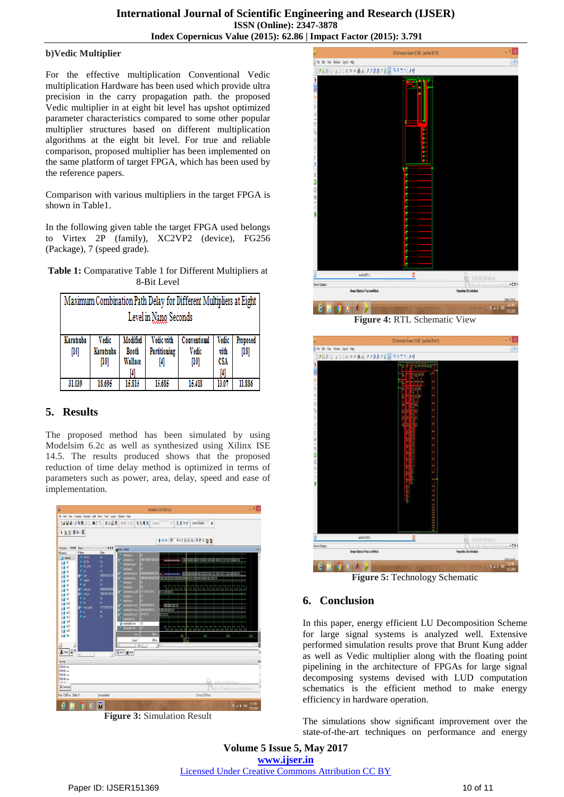#### **b)Vedic Multiplier**

For the effective multiplication Conventional Vedic multiplication Hardware has been used which provide ultra precision in the carry propagation path. the proposed Vedic multiplier in at eight bit level has upshot optimized parameter characteristics compared to some other popular multiplier structures based on different multiplication algorithms at the eight bit level. For true and reliable comparison, proposed multiplier has been implemented on the same platform of target FPGA, which has been used by the reference papers.

Comparison with various multipliers in the target FPGA is shown in Table1.

In the following given table the target FPGA used belongs to Virtex 2P (family), XC2VP2 (device), FG256 (Package), 7 (speed grade).

**Table 1:** Comparative Table 1 for Different Multipliers at 8-Bit Level

| Maximum Combination Path Delay for Different Multipliers at Eight |                            |                                     |                            |                                 |                      |                    |
|-------------------------------------------------------------------|----------------------------|-------------------------------------|----------------------------|---------------------------------|----------------------|--------------------|
| Level in Nano Seconds                                             |                            |                                     |                            |                                 |                      |                    |
| Karatsuba<br>$[10]$                                               | Vedic<br>Karatsuba<br>[10] | Modified<br><b>Booth</b><br>Wallace | Vedic with<br>Partitioning | Conventional<br>Vedic<br>$[10]$ | Vedic<br>with<br>CSA | Proposed<br>$[18]$ |
| 31.039                                                            | 18.695                     | 15.815                              | 15,685                     | 15.418                          | 13 O'                | 11.886             |

# **5. Results**

The proposed method has been simulated by using Modelsim 6.2c as well as synthesized using Xilinx ISE 14.5. The results produced shows that the proposed reduction of time delay method is optimized in terms of parameters such as power, area, delay, speed and ease of implementation.



**Figure 3:** Simulation Result



**Figure 4:** RTL Schematic View



**Figure 5:** Technology Schematic

# **6. Conclusion**

In this paper, energy efficient LU Decomposition Scheme for large signal systems is analyzed well. Extensive performed simulation results prove that Brunt Kung adder as well as Vedic multiplier along with the floating point pipelining in the architecture of FPGAs for large signal decomposing systems devised with LUD computation schematics is the efficient method to make energy efficiency in hardware operation.

The simulations show significant improvement over the state-of-the-art techniques on performance and energy

**Volume 5 Issue 5, May 2017 www.ijser.in** Licensed Under Creative Commons Attribution CC BY